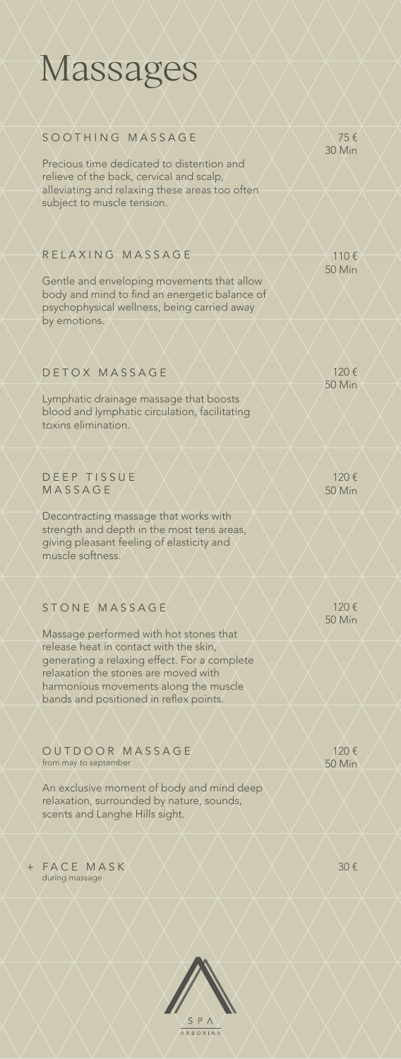### Massages

#### SOOTHING MASSAGE

Precious time dedicated to distention and relieve of the back, cervical and scalp, alleviating and relaxing these areas too often subject to muscle tension.

#### RELAXING MASSAGE

Gentle and enveloping movements that allow body and mind to find an energetic balance of psychophysical wellness, being carried away by emotions.

#### DETOX MASSAGE

Lymphatic drainage massage that boosts blood and lymphatic circulation, facilitating toxins elimination.

#### DEEP TISSUE MASSAGE

Decontracting massage that works with strength and depth in the most tens areas, giving pleasant feeling of elasticity and muscle softness.

### STONE MASSAGE

Massage performed with hot stones that release heat in contact with the skin, generating a relaxing effect. For a complete relaxation the stones are moved with harmonious movements along the muscle bands and positioned in reflex points.

OUTDOOR MASSAGE from may to september

An exclusive moment of body and mind deep relaxation, surrounded by nature, sounds, scents and Langhe Hills sight.

 $+$  FACE MASK  $\times$   $\times$   $\times$   $\times$   $\times$   $\times$   $\times$  30  $\epsilon$ during massage



75 € 30 Min

110 € 50 Min

120 € 50 Min

120 € 50 Min

120 € 50 Min

120 € 50 Min